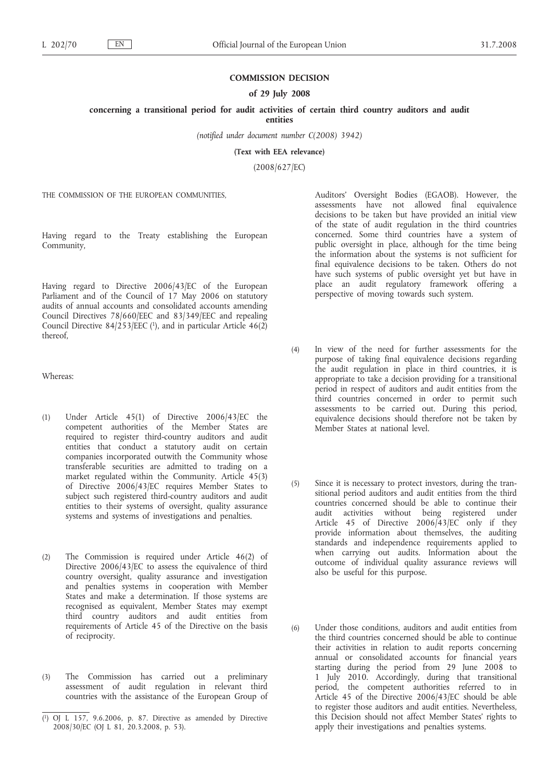## **COMMISSION DECISION**

### **of 29 July 2008**

**concerning a transitional period for audit activities of certain third country auditors and audit**

**entities**

*(notified under document number C(2008) 3942)*

**(Text with EEA relevance)**

(2008/627/EC)

THE COMMISSION OF THE EUROPEAN COMMUNITIES,

Having regard to the Treaty establishing the European Community,

Having regard to Directive 2006/43/EC of the European Parliament and of the Council of 17 May 2006 on statutory audits of annual accounts and consolidated accounts amending Council Directives 78/660/EEC and 83/349/EEC and repealing Council Directive  $84/253/EEC$  (1), and in particular Article  $46(2)$ thereof,

Whereas:

- (1) Under Article 45(1) of Directive 2006/43/EC the competent authorities of the Member States are required to register third-country auditors and audit entities that conduct a statutory audit on certain companies incorporated outwith the Community whose transferable securities are admitted to trading on a market regulated within the Community. Article 45(3) of Directive 2006/43/EC requires Member States to subject such registered third-country auditors and audit entities to their systems of oversight, quality assurance systems and systems of investigations and penalties.
- (2) The Commission is required under Article 46(2) of Directive 2006/43/EC to assess the equivalence of third country oversight, quality assurance and investigation and penalties systems in cooperation with Member States and make a determination. If those systems are recognised as equivalent, Member States may exempt third country auditors and audit entities from requirements of Article 45 of the Directive on the basis of reciprocity.
- (3) The Commission has carried out a preliminary assessment of audit regulation in relevant third countries with the assistance of the European Group of

Auditors' Oversight Bodies (EGAOB). However, the assessments have not allowed final equivalence decisions to be taken but have provided an initial view of the state of audit regulation in the third countries concerned. Some third countries have a system of public oversight in place, although for the time being the information about the systems is not sufficient for final equivalence decisions to be taken. Others do not have such systems of public oversight yet but have in place an audit regulatory framework offering a perspective of moving towards such system.

- (4) In view of the need for further assessments for the purpose of taking final equivalence decisions regarding the audit regulation in place in third countries, it is appropriate to take a decision providing for a transitional period in respect of auditors and audit entities from the third countries concerned in order to permit such assessments to be carried out. During this period, equivalence decisions should therefore not be taken by Member States at national level.
- (5) Since it is necessary to protect investors, during the transitional period auditors and audit entities from the third countries concerned should be able to continue their audit activities without being registered under Article 45 of Directive 2006/43/EC only if they provide information about themselves, the auditing standards and independence requirements applied to when carrying out audits. Information about the outcome of individual quality assurance reviews will also be useful for this purpose.
- (6) Under those conditions, auditors and audit entities from the third countries concerned should be able to continue their activities in relation to audit reports concerning annual or consolidated accounts for financial years starting during the period from 29 June 2008 to 1 July 2010. Accordingly, during that transitional period, the competent authorities referred to in Article 45 of the Directive 2006/43/EC should be able to register those auditors and audit entities. Nevertheless, this Decision should not affect Member States' rights to apply their investigations and penalties systems.

<sup>(</sup> 1) OJ L 157, 9.6.2006, p. 87. Directive as amended by Directive 2008/30/EC (OJ L 81, 20.3.2008, p. 53).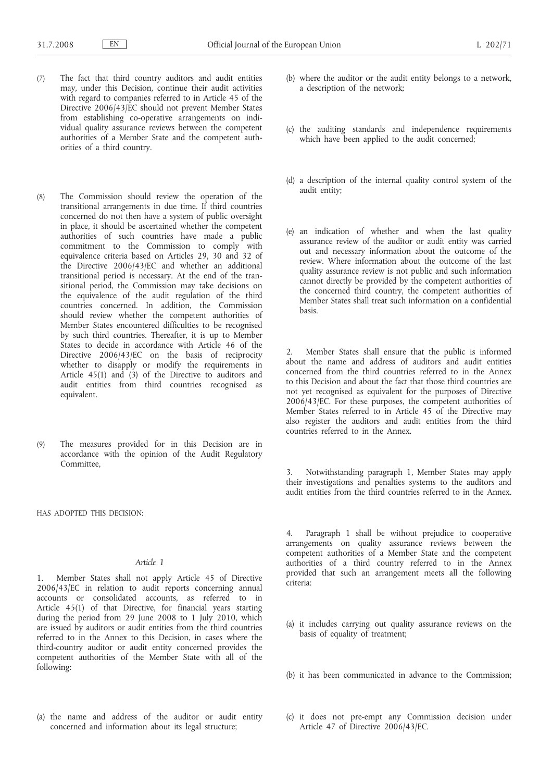- (7) The fact that third country auditors and audit entities may, under this Decision, continue their audit activities with regard to companies referred to in Article 45 of the Directive 2006/43/EC should not prevent Member States from establishing co-operative arrangements on individual quality assurance reviews between the competent authorities of a Member State and the competent authorities of a third country.
- (8) The Commission should review the operation of the transitional arrangements in due time. If third countries concerned do not then have a system of public oversight in place, it should be ascertained whether the competent authorities of such countries have made a public commitment to the Commission to comply with equivalence criteria based on Articles 29, 30 and 32 of the Directive 2006/43/EC and whether an additional transitional period is necessary. At the end of the transitional period, the Commission may take decisions on the equivalence of the audit regulation of the third countries concerned. In addition, the Commission should review whether the competent authorities of Member States encountered difficulties to be recognised by such third countries. Thereafter, it is up to Member States to decide in accordance with Article 46 of the Directive 2006/43/EC on the basis of reciprocity whether to disapply or modify the requirements in Article  $45(1)$  and  $(3)$  of the Directive to auditors and audit entities from third countries recognised as equivalent.
- (9) The measures provided for in this Decision are in accordance with the opinion of the Audit Regulatory Committee,

HAS ADOPTED THIS DECISION:

#### *Article 1*

1. Member States shall not apply Article 45 of Directive 2006/43/EC in relation to audit reports concerning annual accounts or consolidated accounts, as referred to in Article 45(1) of that Directive, for financial years starting during the period from 29 June 2008 to 1 July 2010, which are issued by auditors or audit entities from the third countries referred to in the Annex to this Decision, in cases where the third-country auditor or audit entity concerned provides the competent authorities of the Member State with all of the following:

(a) the name and address of the auditor or audit entity concerned and information about its legal structure;

- (b) where the auditor or the audit entity belongs to a network, a description of the network;
- (c) the auditing standards and independence requirements which have been applied to the audit concerned;
- (d) a description of the internal quality control system of the audit entity;
- (e) an indication of whether and when the last quality assurance review of the auditor or audit entity was carried out and necessary information about the outcome of the review. Where information about the outcome of the last quality assurance review is not public and such information cannot directly be provided by the competent authorities of the concerned third country, the competent authorities of Member States shall treat such information on a confidential basis.

2. Member States shall ensure that the public is informed about the name and address of auditors and audit entities concerned from the third countries referred to in the Annex to this Decision and about the fact that those third countries are not yet recognised as equivalent for the purposes of Directive 2006/43/EC. For these purposes, the competent authorities of Member States referred to in Article 45 of the Directive may also register the auditors and audit entities from the third countries referred to in the Annex.

3. Notwithstanding paragraph 1, Member States may apply their investigations and penalties systems to the auditors and audit entities from the third countries referred to in the Annex.

4. Paragraph 1 shall be without prejudice to cooperative arrangements on quality assurance reviews between the competent authorities of a Member State and the competent authorities of a third country referred to in the Annex provided that such an arrangement meets all the following criteria:

- (a) it includes carrying out quality assurance reviews on the basis of equality of treatment;
- (b) it has been communicated in advance to the Commission;
- (c) it does not pre-empt any Commission decision under Article 47 of Directive 2006/43/EC.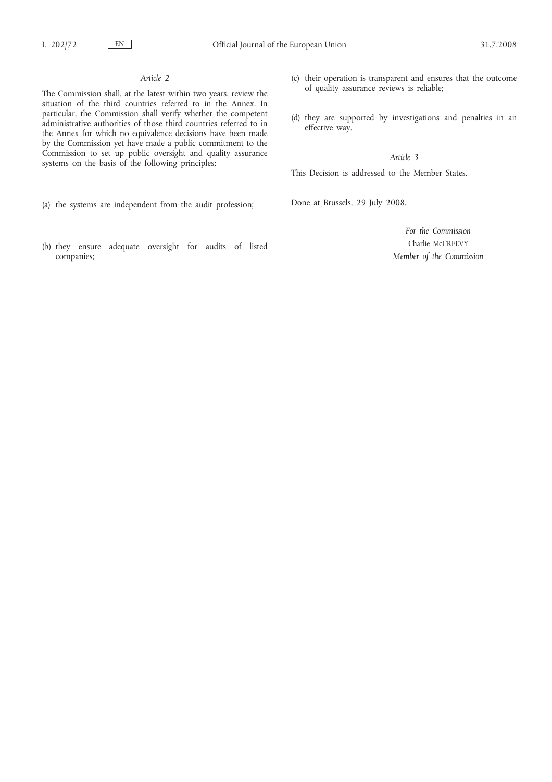# *Article 2*

The Commission shall, at the latest within two years, review the situation of the third countries referred to in the Annex. In particular, the Commission shall verify whether the competent administrative authorities of those third countries referred to in the Annex for which no equivalence decisions have been made by the Commission yet have made a public commitment to the Commission to set up public oversight and quality assurance systems on the basis of the following principles:

- (a) the systems are independent from the audit profession;
- (b) they ensure adequate oversight for audits of listed companies;
- (c) their operation is transparent and ensures that the outcome of quality assurance reviews is reliable;
- (d) they are supported by investigations and penalties in an effective way.

*Article 3*

This Decision is addressed to the Member States.

Done at Brussels, 29 July 2008.

*For the Commission* Charlie McCREEVY *Member of the Commission*